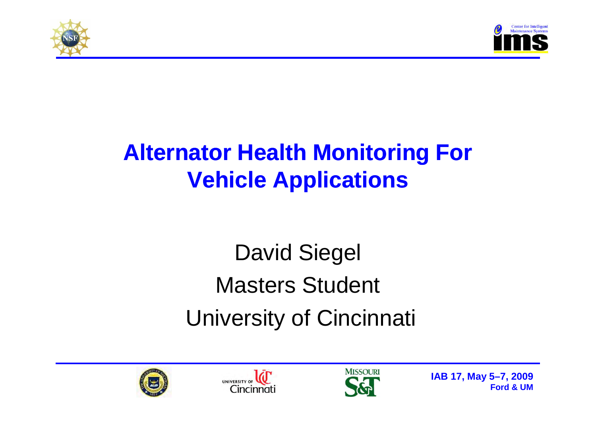



## **Alternator Health Monitoring For Vehicle Applications**

## David SiegelMasters StudentUniversity of Cincinnati





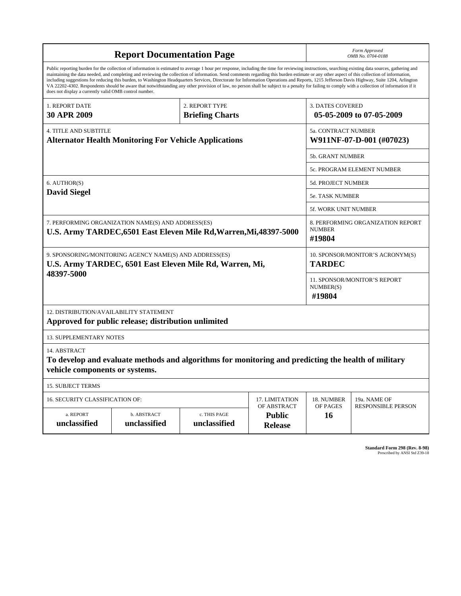|                                                                                                                                  | <b>Report Documentation Page</b>                                                                                                                                                                                                                                                                                                                                                                 | Form Approved<br>OMB No. 0704-0188 |                                                |                            |                                                                                                                                                                                                                                                                                                                                                                                                      |  |  |  |
|----------------------------------------------------------------------------------------------------------------------------------|--------------------------------------------------------------------------------------------------------------------------------------------------------------------------------------------------------------------------------------------------------------------------------------------------------------------------------------------------------------------------------------------------|------------------------------------|------------------------------------------------|----------------------------|------------------------------------------------------------------------------------------------------------------------------------------------------------------------------------------------------------------------------------------------------------------------------------------------------------------------------------------------------------------------------------------------------|--|--|--|
| does not display a currently valid OMB control number.                                                                           | maintaining the data needed, and completing and reviewing the collection of information. Send comments regarding this burden estimate or any other aspect of this collection of information,<br>VA 22202-4302. Respondents should be aware that notwithstanding any other provision of law, no person shall be subject to a penalty for failing to comply with a collection of information if it |                                    |                                                |                            | Public reporting burden for the collection of information is estimated to average 1 hour per response, including the time for reviewing instructions, searching existing data sources, gathering and<br>including suggestions for reducing this burden, to Washington Headquarters Services, Directorate for Information Operations and Reports, 1215 Jefferson Davis Highway, Suite 1204, Arlington |  |  |  |
| 1. REPORT DATE                                                                                                                   |                                                                                                                                                                                                                                                                                                                                                                                                  | 2. REPORT TYPE                     | <b>3. DATES COVERED</b>                        |                            |                                                                                                                                                                                                                                                                                                                                                                                                      |  |  |  |
| <b>30 APR 2009</b>                                                                                                               |                                                                                                                                                                                                                                                                                                                                                                                                  | <b>Briefing Charts</b>             |                                                |                            | 05-05-2009 to 07-05-2009                                                                                                                                                                                                                                                                                                                                                                             |  |  |  |
| <b>4. TITLE AND SUBTITLE</b><br><b>Alternator Health Monitoring For Vehicle Applications</b>                                     |                                                                                                                                                                                                                                                                                                                                                                                                  |                                    |                                                |                            | 5a. CONTRACT NUMBER<br>W911NF-07-D-001 (#07023)                                                                                                                                                                                                                                                                                                                                                      |  |  |  |
|                                                                                                                                  |                                                                                                                                                                                                                                                                                                                                                                                                  |                                    |                                                | 5b. GRANT NUMBER           |                                                                                                                                                                                                                                                                                                                                                                                                      |  |  |  |
|                                                                                                                                  |                                                                                                                                                                                                                                                                                                                                                                                                  |                                    |                                                | 5c. PROGRAM ELEMENT NUMBER |                                                                                                                                                                                                                                                                                                                                                                                                      |  |  |  |
| 6. AUTHOR(S)                                                                                                                     |                                                                                                                                                                                                                                                                                                                                                                                                  |                                    |                                                | 5d. PROJECT NUMBER         |                                                                                                                                                                                                                                                                                                                                                                                                      |  |  |  |
| <b>David Siegel</b>                                                                                                              |                                                                                                                                                                                                                                                                                                                                                                                                  |                                    |                                                |                            | 5e. TASK NUMBER                                                                                                                                                                                                                                                                                                                                                                                      |  |  |  |
|                                                                                                                                  |                                                                                                                                                                                                                                                                                                                                                                                                  |                                    |                                                | 5f. WORK UNIT NUMBER       |                                                                                                                                                                                                                                                                                                                                                                                                      |  |  |  |
| 7. PERFORMING ORGANIZATION NAME(S) AND ADDRESS(ES)<br>U.S. Army TARDEC, 6501 East Eleven Mile Rd, Warren, Mi, 48397-5000         |                                                                                                                                                                                                                                                                                                                                                                                                  |                                    |                                                |                            | 8. PERFORMING ORGANIZATION REPORT<br><b>NUMBER</b><br>#19804                                                                                                                                                                                                                                                                                                                                         |  |  |  |
| 9. SPONSORING/MONITORING AGENCY NAME(S) AND ADDRESS(ES)<br>U.S. Army TARDEC, 6501 East Eleven Mile Rd, Warren, Mi,<br>48397-5000 |                                                                                                                                                                                                                                                                                                                                                                                                  |                                    |                                                |                            | 10. SPONSOR/MONITOR'S ACRONYM(S)<br><b>TARDEC</b>                                                                                                                                                                                                                                                                                                                                                    |  |  |  |
|                                                                                                                                  |                                                                                                                                                                                                                                                                                                                                                                                                  |                                    |                                                |                            | 11. SPONSOR/MONITOR'S REPORT<br>NUMBER(S)<br>#19804                                                                                                                                                                                                                                                                                                                                                  |  |  |  |
| 12. DISTRIBUTION/AVAILABILITY STATEMENT                                                                                          | Approved for public release; distribution unlimited                                                                                                                                                                                                                                                                                                                                              |                                    |                                                |                            |                                                                                                                                                                                                                                                                                                                                                                                                      |  |  |  |
| <b>13. SUPPLEMENTARY NOTES</b>                                                                                                   |                                                                                                                                                                                                                                                                                                                                                                                                  |                                    |                                                |                            |                                                                                                                                                                                                                                                                                                                                                                                                      |  |  |  |
| 14. ABSTRACT<br>vehicle components or systems.                                                                                   | To develop and evaluate methods and algorithms for monitoring and predicting the health of military                                                                                                                                                                                                                                                                                              |                                    |                                                |                            |                                                                                                                                                                                                                                                                                                                                                                                                      |  |  |  |
| <b>15. SUBJECT TERMS</b>                                                                                                         |                                                                                                                                                                                                                                                                                                                                                                                                  |                                    |                                                |                            |                                                                                                                                                                                                                                                                                                                                                                                                      |  |  |  |
| 16. SECURITY CLASSIFICATION OF:                                                                                                  |                                                                                                                                                                                                                                                                                                                                                                                                  | 18. NUMBER                         | 19a. NAME OF                                   |                            |                                                                                                                                                                                                                                                                                                                                                                                                      |  |  |  |
| a. REPORT<br>unclassified                                                                                                        | b. ABSTRACT<br>unclassified                                                                                                                                                                                                                                                                                                                                                                      | c. THIS PAGE<br>unclassified       | OF ABSTRACT<br><b>Public</b><br><b>Release</b> | OF PAGES<br>16             | <b>RESPONSIBLE PERSON</b>                                                                                                                                                                                                                                                                                                                                                                            |  |  |  |

**Standard Form 298 (Rev. 8-98)**<br>Prescribed by ANSI Std Z39-18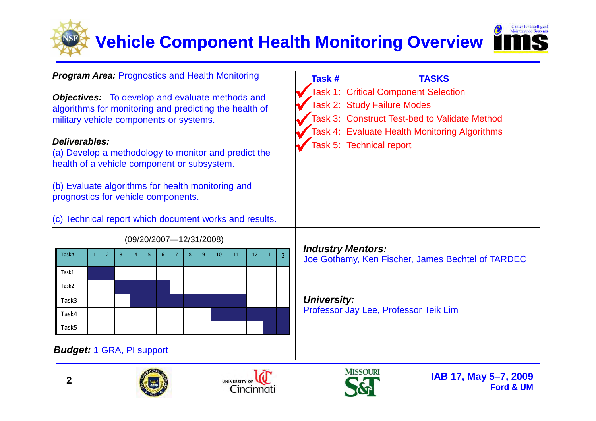

 $\begin{matrix} \end{matrix}$ 

#### **Program Area:** Prognostics and Health Monitoring

**Objectives:** To develop and evaluate methods and algorithms for monitoring and predicting the health of military vehicle components or systems.

#### **Deliverables:**

 (a) Develop a methodology to monitor and predict the health of a vehicle component or subsystem.

(b) Evaluate algorithms for health monitoring and prognostics for vehicle components.

(c) Technical report which document works and results.

| $(09/ZU/ZUU)$ $-12/31/ZUU0$ |              |                |                |                |   |                 |   |   |   |    |    |    |              |                |
|-----------------------------|--------------|----------------|----------------|----------------|---|-----------------|---|---|---|----|----|----|--------------|----------------|
| Task#                       | $\mathbf{1}$ | $\overline{2}$ | $\overline{3}$ | $\overline{4}$ | 5 | $6\phantom{1}6$ | 7 | 8 | 9 | 10 | 11 | 12 | $\mathbf{1}$ | $\overline{2}$ |
| Task1                       |              |                |                |                |   |                 |   |   |   |    |    |    |              |                |
| Task2                       |              |                |                |                |   |                 |   |   |   |    |    |    |              |                |
| Task3                       |              |                |                |                |   |                 |   |   |   |    |    |    |              |                |
| Task4                       |              |                |                |                |   |                 |   |   |   |    |    |    |              |                |
| Task5                       |              |                |                |                |   |                 |   |   |   |    |    |    |              |                |

#### **Budget:** 1 GRA, PI support

**2**







#### (09/20/2007—12/31/2008)

## Task 3: Construct Test-bed to Validate Method Task 4: Evaluate Health Monitoring AlgorithmsTask 5: Technical report  $\left\langle \right\rangle$

**Task # TASKS**

Task 2: Study Failure Modes

Task 1: Critical Component Selection

#### **Industry Mentors:**

Joe Gothamy, Ken Fischer, James Bechtel of TARDEC

**University:** Professor Jay Lee, Professor Teik Lim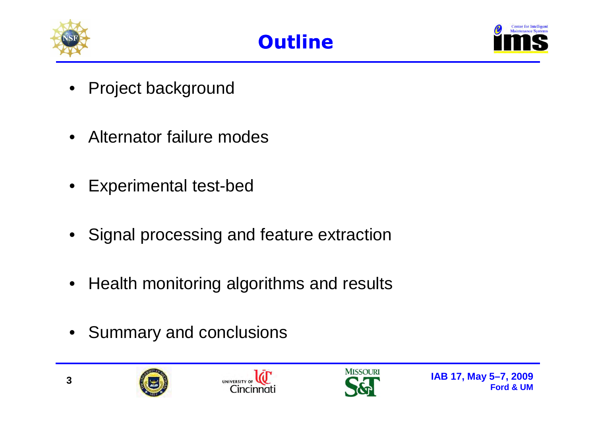



- Project background
- Alternator failure modes
- Experimental test-bed
- Signal processing and feature extraction
- Health monitoring algorithms and results
- Summary and conclusions





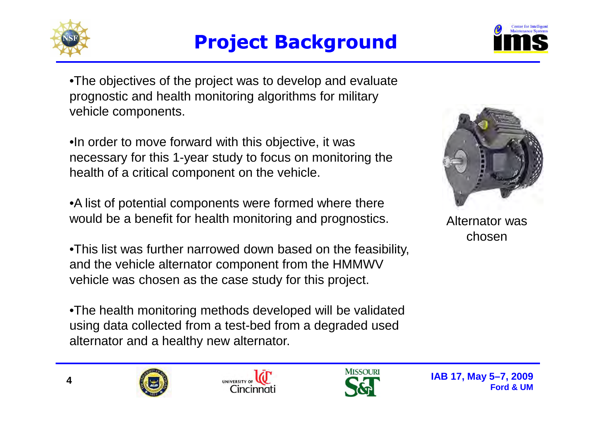



•The objectives of the project was to develop and evaluate prognostic and health monitoring algorithms for military vehicle components.

•In order to move forward with this objective, it was necessary for this 1-year study to focus on monitoring the health of a critical component on the vehicle.

•A list of potential components were formed where there would be a benefit for health monitoring and prognostics.

•This list was further narrowed down based on the feasibility, and the vehicle alternator component from the HMMWV vehicle was chosen as the case study for this project.

•The health monitoring methods developed will be validated using data collected from a test-bed from a degraded used alternator and a healthy new alternator.



Alternator was chosen





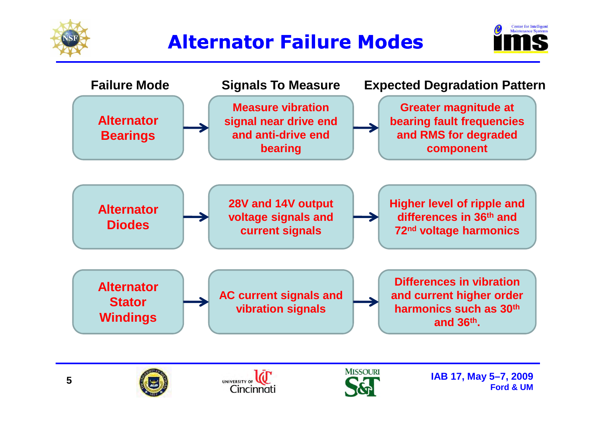

## **Alternator Failure Modes**





**5**





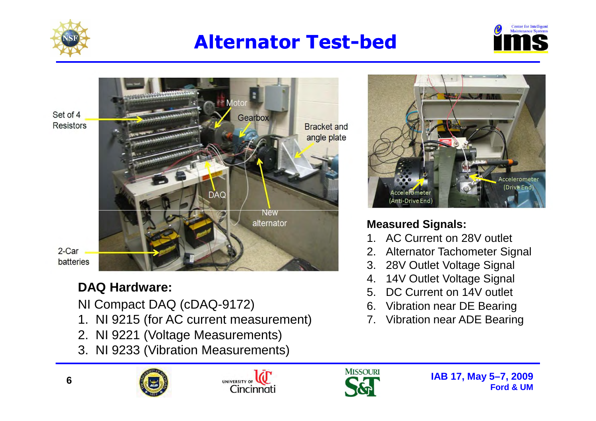

## **Alternator Test Test-bed**





#### **DAQ Hardware:**

NI Compact DAQ (cDAQ-9172)

- 1. NI 9215 (for AC current measurement)
- 2. NI 9221 (Voltage Measurements)
- 3. NI 9233 (Vibration Measurements)



#### **Measured Signals:**

- 1. AC Current on 28V outlet
- 2. Alternator Tachometer Signal
- 3. 28V Outlet Voltage Signal
- 4. 14V Outlet Voltage Signal
- 5. DC Current on 14V outlet
- 6. Vibration near DE Bearing
- 7. Vibration near ADE Bearing



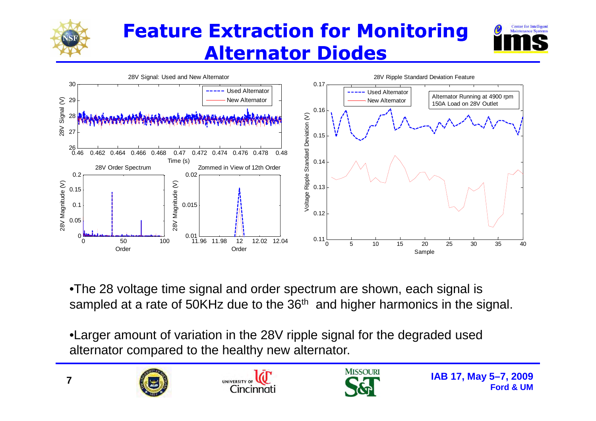

## **Feature Extraction for Monitoring Alternator Diodes**





•The 28 voltage time signal and order spectrum are shown, each signal is sampled at a rate of 50KHz due to the 36<sup>th</sup> and higher harmonics in the signal.

•Larger amount of variation in the 28V ripple signal for the degraded used alternator compared to the healthy new alternator.





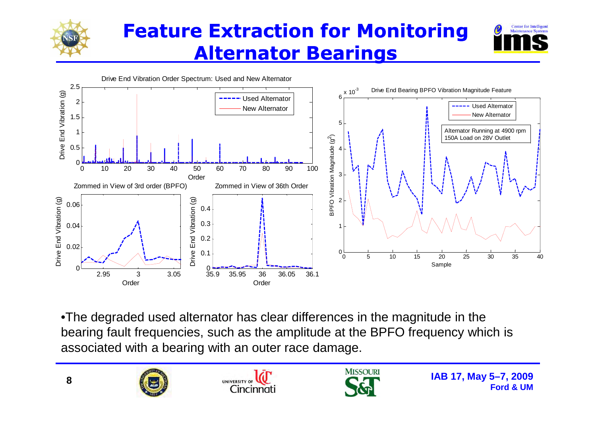

## **Feature Extraction for Monitoring Alternator Bearings**





•The degraded used alternator has clear differences in the magnitude in the bearing fault frequencies, such as the amplitude at the BPFO frequency which is associated with a bearing with an outer race damage.





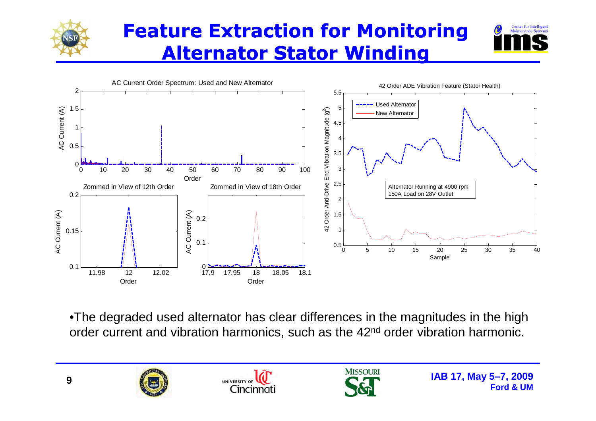

## **Feature Extraction for Monitoring Alternator Stator Winding**





•The degraded used alternator has clear differences in the magnitudes in the high order current and vibration harmonics, such as the 42<sup>nd</sup> order vibration harmonic.

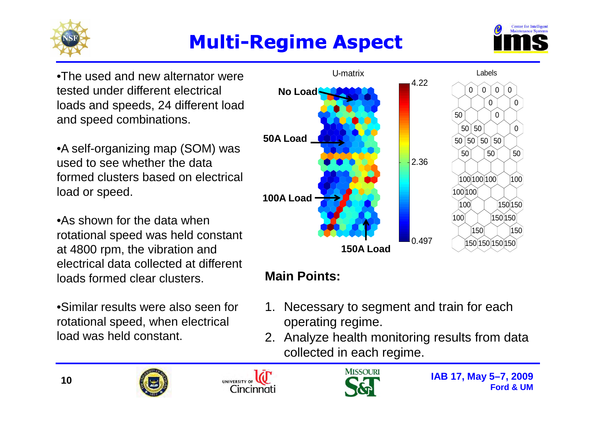

## **Multi-Regime Aspect Regime**



•The used and new alternator were tested under different electrical loads and speeds, 24 different load and speed combinations.

•A self-organizing map (SOM) was used to see whether the data formed clusters based on electrical load or speed.

•As shown for the data when rotational speed was held constant at 4800 rpm, the vibration and electrical data collected at different loads formed clear clusters.

•Similar results were also seen for rotational speed, when electrical load was held constant.



## **Main Points:**

- 1. Necessary to segment and train for each operating regime.
- 2. Analyze health monitoring results from data collected in each regime.





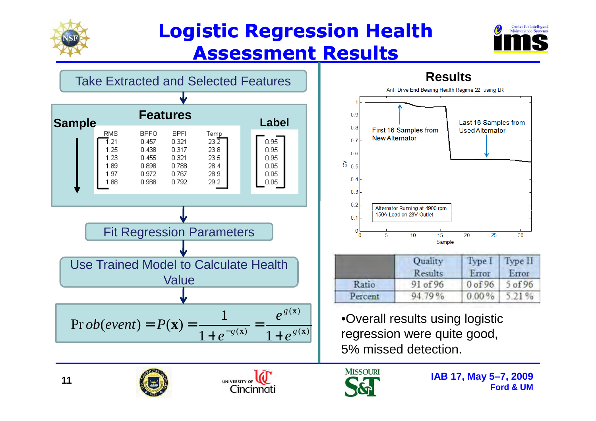

## **Logistic Regression Health Assessment Results**







|         | Quality<br>Results | <b>Type</b><br>Error | Type II<br>Error |  |
|---------|--------------------|----------------------|------------------|--|
| Ratio   | 91 of 96           | 0 of 96              | $5$ of 96        |  |
| Percent | 94.79%             | 0.00%                | 5.21%            |  |

5% missed detection.





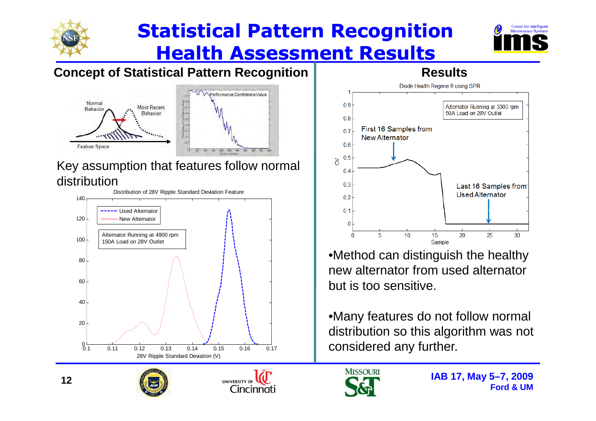

## **Statistical Pattern Recognition Health Assessment Results**



## **Concept of Statistical Pattern Recognition**



#### Key assumption that features follow normal distribution









**Results**

•Method can distinguish the healthy new alternator from used alternator but is too sensitive.

•Many features do not follow normal distribution so this algorithm was not

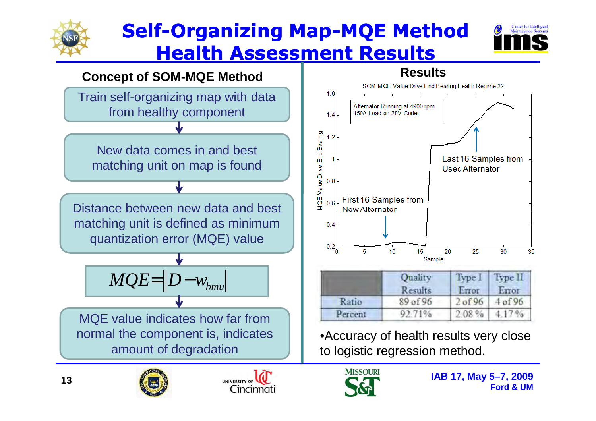

## **Self-Organizing Map-MQE Method Health Assessment Results**







**Results** 

|         | <b>Ouality</b><br>Results | Type 1<br>Error | type 11<br>Error   |  |
|---------|---------------------------|-----------------|--------------------|--|
| Ratio   | 89 of 96                  | $2$ of 96       | 4 <sub>of</sub> 96 |  |
| Percent | 92.71%                    | 2.08%           | 4.17%              |  |

•Accuracy of health results very close to logistic regression method.





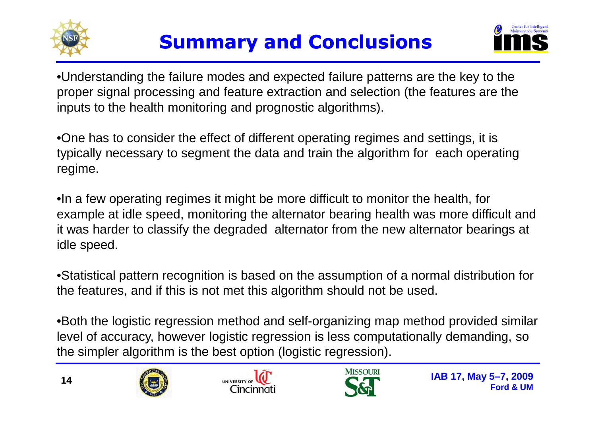



•Understanding the failure modes and expected failure patterns are the key to the proper signal processing and feature extraction and selection (the features are the inputs to the health monitoring and prognostic algorithms).

•One has to consider the effect of different operating regimes and settings, it is typically necessary to segment the data and train the algorithm for each operating regime.

•In a few operating regimes it might be more difficult to monitor the health, for example at idle speed, monitoring the alternator bearing health was more difficult and it was harder to classify the degraded alternator from the new alternator bearings at idle speed.

•Statistical pattern recognition is based on the assumption of a normal distribution for the features, and if this is not met this algorithm should not be used.

•Both the logistic regression method and self-organizing map method provided similar level of accuracy, however logistic regression is less computationally demanding, so the simpler algorithm is the best option (logistic regression).





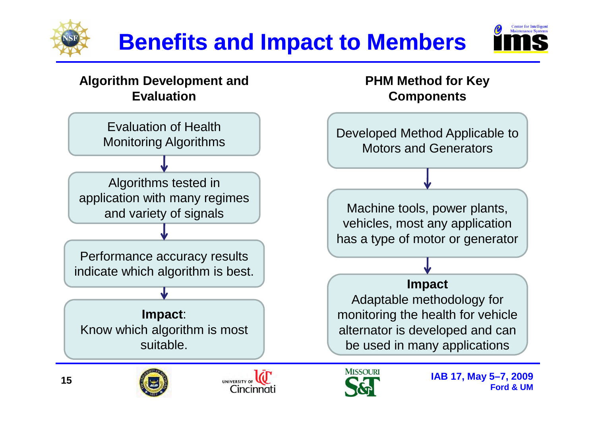



#### **Algorithm Development and Evaluation**

Evaluation of Health Monitoring Algorithms

Algorithms tested in application with many regimes and variety of signals

Performance accuracy results indicate which algorithm is best.

**Impact**: Know which algorithm is most suitable.

#### **PHM Method for Key Components**

Developed Method Applicable to Motors and Generators

 Machine tools, power plants, vehicles, most any application has a type of motor or generator

#### **Impact**

Adaptable methodology for monitoring the health for vehicle alternator is developed and can be used in many applications